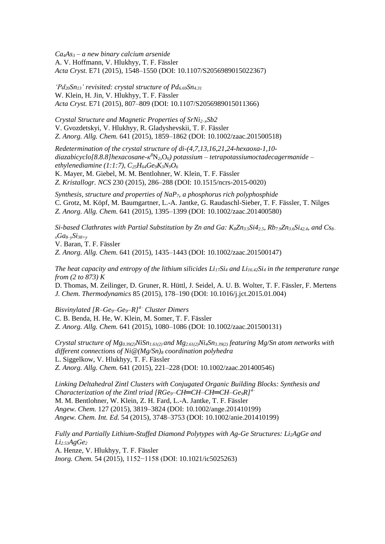*Ca4As<sup>3</sup> – a new binary calcium arsenide* A. V. Hoffmann, V. Hlukhyy, T. F. Fässler *Acta Cryst.* E71 (2015), 1548–1550 (DOI: [10.1107/S2056989015022367\)](http://dx.doi.org/10.1107/S2056989015022367)

*'Pd20Sn13' revisited: crystal structure of Pd6.69Sn4.31* W. Klein, H. Jin, V. Hlukhyy, T. F. Fässler *Acta Cryst.* E71 (2015), 807–809 (DOI: [10.1107/S2056989015011366\)](http://dx.doi.org/10.1107/S2056989015011366)

*Crystal Structure and Magnetic Properties of SrNi2–xSb2* V. Gvozdetskyi, V. Hlukhyy, R. Gladyshevskii, T. F. Fässler *Z. Anorg. Allg. Chem.* 641 (2015), 1859–1862 (DOI: [10.1002/zaac.201500518\)](http://dx.doi.org/10.1002/zaac.201500518)

*Redetermination of the crystal structure of di-(4,7,13,16,21,24-hexaoxa-1,10 diazabicyclo[8.8.8]hexacosane-κ <sup>8</sup>*N*2,*O*6) potassium – tetrapotassiumoctadecagermanide – ethylenediamine (1:1:7), C25H64Ge9K3N9O<sup>6</sup>*

K. Mayer, M. Giebel, M. M. Bentlohner, W. Klein, T. F. Fässler *Z. Kristallogr. NCS* 230 (2015), 286–288 (DOI: [10.1515/ncrs-2015-0020\)](http://dx.doi.org/10.1515/ncrs-2015-0020)

*Synthesis, structure and properties of NaP7, a phosphorus rich polyphosphide* C. Grotz, M. Köpf, M. Baumgartner, L.-A. Jantke, G. Raudaschl-Sieber, T. F. Fässler, T. Nilges *Z. Anorg. Allg. Chem.* 641 (2015), 1395–1399 (DOI: [10.1002/zaac.201400580\)](http://dx.doi.org/10.1002/zaac.201400580)

*Si-based Clathrates with Partial Substitution by Zn and Ga: K8Zn3.5Si42.5, Rb7.9Zn3.6Si42.4, and Cs8– <sup>x</sup>Ga8–ySi38+y* V. Baran, T. F. Fässler

*Z. Anorg. Allg. Chem.* 641 (2015), 1435–1443 (DOI: [10.1002/zaac.201500147\)](http://dx.doi.org/10.1002/zaac.201500147)

*The heat capacity and entropy of the lithium silicides Li17Si<sup>4</sup> and Li16.42Si<sup>4</sup> in the temperature range from (2 to 873) K*

D. Thomas, M. Zeilinger, D. Gruner, R. Hüttl, J. Seidel, A. U. B. Wolter, T. F. Fässler, F. Mertens *J. Chem. Thermodynamics* 85 (2015), 178–190 (DOI: [10.1016/j.jct.2015.01.004\)](http://dx.doi.org/10.1016/j.jct.2015.01.004)

*Bisvinylated [R–Ge9–Ge9–R]4– Cluster Dimers* C. B. Benda, H. He, W. Klein, M. Somer, T. F. Fässler *Z. Anorg. Allg. Chem.* 641 (2015), 1080–1086 (DOI: [10.1002/zaac.201500131\)](http://dx.doi.org/10.1002/zaac.201500131)

*Crystal structure of Mg0.39(2)NiSn1.61(2) and Mg2.61(2)Ni4Sn3.39(2) featuring Mg/Sn atom networks with different connections of Ni@(Mg/Sn)<sup>8</sup> coordination polyhedra*  L. Siggelkow, V. Hlukhyy, T. F. Fässler *Z. Anorg. Allg. Chem.* 641 (2015), 221–228 (DOI: [10.1002/zaac.201400546\)](http://dx.doi.org/10.1002/zaac.201400546)

*Linking Deltahedral Zintl Clusters with Conjugated Organic Building Blocks: Synthesis and Characterization of the Zintl triad [RGe9–CH═CH–CH═CH–Ge9R]4–* M. M. Bentlohner, W. Klein, Z. H. Fard, L.-A. Jantke, T. F. Fässler *Angew. Chem.* 127 (2015), 3819–3824 (DOI: [10.1002/ange.201410199\)](http://dx.doi.org/10.1002/ange.201410199) *Angew. Chem. Int. Ed.* 54 (2015), 3748–3753 (DOI: [10.1002/anie.201410199\)](http://dx.doi.org/10.1002/anie.201410199)

*Fully and Partially Lithium-Stuffed Diamond Polytypes with Ag-Ge Structures: Li2AgGe and Li2.53AgGe<sup>2</sup>* A. Henze, V. Hlukhyy, T. F. Fässler *Inorg. Chem.* 54 (2015), 1152−1158 (DOI: [10.1021/ic5025263\)](http://dx.doi.org/10.1021/ic5025263)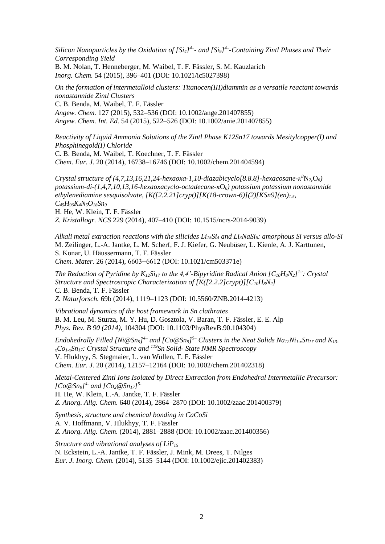*Silicon Nanoparticles by the Oxidation of [Si4] 4– - and [Si9] 4– -Containing Zintl Phases and Their Corresponding Yield* B. M. Nolan, T. Henneberger, M. Waibel, T. F. Fässler, S. M. Kauzlarich *Inorg. Chem.* 54 (2015), 396–401 (DOI: [10.1021/ic5027398\)](http://dx.doi.org/10.1021/ic5027398)

*On the formation of intermetalloid clusters: Titanocen(III)diammin as a versatile reactant towards nonastannide Zintl Clusters* C. B. Benda, M. Waibel, T. F. Fässler *Angew. Chem.* 127 (2015), 532–536 (DOI: [10.1002/ange.201407855\)](http://dx.doi.org/10.1002/ange.201407855) *Angew. Chem. Int. Ed.* 54 (2015), 522–526 (DOI: [10.1002/anie.201407855\)](http://onlinelibrary.wiley.com/doi/10.1002/anie.201407855/abstract)

*Reactivity of Liquid Ammonia Solutions of the Zintl Phase K12Sn17 towards Mesitylcopper(I) and Phosphinegold(I) Chloride*

C. B. Benda, M. Waibel, T. Koechner, T. F. Fässler *Chem. Eur. J.* 20 (2014), 16738–16746 (DOI: [10.1002/chem.201404594\)](http://dx.doi.org/10.1002/chem.201404594)

*Crystal structure of (4,7,13,16,21,24-hexaoxa-1,10-diazabicyclo[8.8.8]-hexacosane-κ <sup>8</sup>*N*2*,O*6) potassium-di-(1,4,7,10,13,16-hexaoxacyclo-octadecane-κ*O*6) potassium potassium nonastannide ethylenediamine sesquisolvate, [K([2.2.21]crypt)][K(18-crown-6)](2)[KSn9](en)1.5, C45H96K4N5O18Sn<sup>9</sup>* H. He, W. Klein, T. F. Fässler *Z. Kristallogr. NCS* 229 (2014), 407–410 (DOI: [10.1515/ncrs-2014-9039\)](http://dx.doi.org/10.1515/ncrs-2014-9039)

*Alkali metal extraction reactions with the silicides Li15Si<sup>4</sup> and Li3NaSi6: amorphous Si versus allo-Si* M. Zeilinger, L.-A. Jantke, L. M. Scherf, F. J. Kiefer, G. Neubüser, L. Kienle, A. J. Karttunen, S. Konar, U. Häussermann, T. F. Fässler *Chem. Mater.* 26 (2014), 6603−6612 (DOI: [10.1021/cm503371e\)](http://dx.doi.org/10.1021/cm503371e)

*The Reduction of Pyridine by K12Si<sup>17</sup> to the 4,4'-Bipyridine Radical Anion [C10H8N2] 1-· : Crystal Structure and Spectroscopic Characterization of [K([2.2.2]crypt)][C10H8N2]* C. B. Benda, T. F. Fässler *Z. Naturforsch.* 69b (2014), 1119–1123 (DOI: [10.5560/ZNB.2014-4213\)](http://dx.doi.org/10.5560/ZNB.2014-4213)

*Vibrational dynamics of the host framework in Sn clathrates* B. M. Leu, M. Sturza, M. Y. Hu, D. Gosztola, V. Baran, T. F. Fässler, E. E. Alp *Phys. Rev. B 90 (2014),* 104304 (DOI: [10.1103/PhysRevB.90.104304\)](http://dx.doi.org/10.1103/PhysRevB.90.104304)

*Endohedrally Filled [Ni@Sn9] 4– and [Co@Sn9] 5– Clusters in the Neat Solids Na12Ni1-xSn<sup>17</sup> and K13 <sup>x</sup>Co1-xSn17: Crystal Structure and <sup>119</sup>Sn Solid- State NMR Spectroscopy* V. Hlukhyy, S. Stegmaier, L. van Wüllen, T. F. Fässler *Chem. Eur. J.* 20 (2014), 12157–12164 (DOI: [10.1002/chem.201402318\)](http://dx.doi.org/10.1002/chem.201402318)

*Metal-Centered Zintl Ions Isolated by Direct Extraction from Endohedral Intermetallic Precursor: [Co@Sn9] 4- and [Co2@Sn17] 5-*

H. He, W. Klein, L.-A. Jantke, T. F. Fässler

*Z. Anorg. Allg. Chem.* 640 (2014), 2864–2870 (DOI: [10.1002/zaac.201400379\)](http://dx.doi.org/10.1002/zaac.201400379)

*Synthesis, structure and chemical bonding in CaCoSi* A. V. Hoffmann, V. Hlukhyy, T. F. Fässler *Z. Anorg. Allg. Chem.* (2014), 2881–2888 (DOI: [10.1002/zaac.201400356\)](http://dx.doi.org/10.1002/zaac.201400356)

*Structure and vibrational analyses of LiP<sup>15</sup>* N. Eckstein, L.-A. Jantke, T. F. Fässler, J. Mink, M. Drees, T. Nilges *Eur. J. Inorg. Chem.* (2014), 5135–5144 (DOI: [10.1002/ejic.201402383\)](http://dx.doi.org/10.1002/ejic.201402383)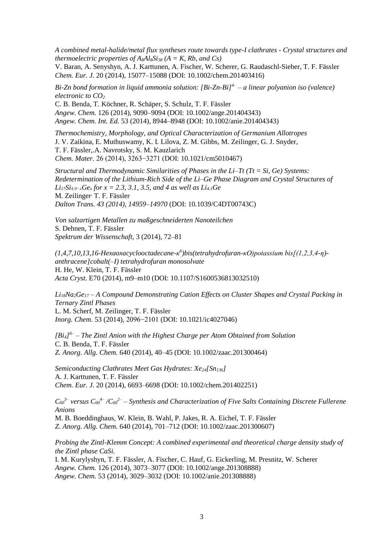*A combined metal-halide/metal flux syntheses route towards type-I clathrates - Crystal structures and thermoelectric properties of*  $A_8A_8S_8$  *(A = K, Rb, and Cs)* 

V. Baran, A. Senyshyn, A. J. Karttunen, A. Fischer, W. Scherer, G. Raudaschl-Sieber, T. F. Fässler *Chem. Eur. J.* 20 (2014), 15077–15088 (DOI: [10.1002/chem.201403416\)](http://dx.doi.org/10.1002/chem.201403416)

*Bi-Zn bond formation in liquid ammonia solution: [Bi-Zn-Bi]4– – a linear polyanion iso (valence) electronic to CO<sup>2</sup>*

C. B. Benda, T. Köchner, R. Schäper, S. Schulz, T. F. Fässler *Angew. Chem.* 126 (2014), 9090–9094 (DOI: [10.1002/ange.201404343\)](http://dx.doi.org/10.1002/ange.201404343) *Angew. Chem. Int. Ed.* 53 (2014), 8944–8948 (DOI: [10.1002/anie.201404343\)](http://dx.doi.org/10.1002/anie.201404343)

*Thermochemistry, Morphology, and Optical Characterization of Germanium Allotropes* J. V. Zaikina, E. Muthuswamy, K. I. Lilova, Z. M. Gibbs, M. Zeilinger, G. J. Snyder, T. F. Fässler,.A. Navrotsky, S. M. Kauzlarich *Chem. Mater.* 26 (2014), 3263−3271 (DOI: [10.1021/cm5010467\)](http://dx.doi.org/10.1021/cm5010467)

*Structural and Thermodynamic Similarities of Phases in the Li–Tt (Tt = Si, Ge) Systems: Redetermination of the Lithium-Rich Side of the Li–Ge Phase Diagram and Crystal Structures of Li17Si4.0−xGe<sup>x</sup> for x = 2.3, 3.1, 3.5, and 4 as well as Li4.1Ge* M. Zeilinger T. F. Fässler *Dalton Trans. 43 (2014), 14959–14970* (DOI: [10.1039/C4DT00743C\)](http://dx.doi.org/10.1039/C4DT00743C)

*Von salzartigen Metallen zu maßgeschneiderten Nanoteilchen* S. Dehnen, T. F. Fässler *Spektrum der Wissenschaft,* 3 (2014), 72–81

*(1,4,7,10,13,16-Hexaoxacyclooctadecane-κ 6 )bis(tetrahydrofuran-κO)potassium bis[(1,2,3,4-η) anthracene]cobalt(–I) tetrahydrofuran monosolvate* H. He, W. Klein, T. F. Fässler *Acta Cryst.* E70 (2014), m9–m10 (DOI: [10.1107/S1600536813032510\)](http://dx.doi.org/10.1107/S1600536813032510)

*Li18Na2Ge<sup>17</sup> – A Compound Demonstrating Cation Effects on Cluster Shapes and Crystal Packing in Ternary Zintl Phases* L. M. Scherf, M. Zeilinger, T. F. Fässler *Inorg. Chem.* 53 (2014), 2096−2101 (DOI: [10.1021/ic4027046\)](http://dx.doi.org/10.1021/ic4027046)

*[Bi4] 6– – The Zintl Anion with the Highest Charge per Atom Obtained from Solution* C. B. Benda, T. F. Fässler *Z. Anorg. Allg. Chem.* 640 (2014), 40–45 (DOI: [10.1002/zaac.201300464\)](http://dx.doi.org/10.1002/zaac.201300464)

*Semiconducting Clathrates Meet Gas Hydrates: Xe24[Sn136]* A. J. Karttunen, T. F. Fässler *Chem. Eur. J.* 20 (2014), 6693–6698 (DOI: [10.1002/chem.201402251\)](http://dx.doi.org/10.1002/chem.201402251)

 $C_{60}$ <sup>3–</sup> versus  $C_{60}$ <sup>4–</sup> / $C_{60}$ <sup>2–</sup> – Synthesis and Characterization of Five Salts Containing Discrete Fullerene *Anions*

M. B. Boeddinghaus, W. Klein, B. Wahl, P. Jakes, R. A. Eichel, T. F. Fässler *Z. Anorg. Allg. Chem.* 640 (2014), 701–712 (DOI: [10.1002/zaac.201300607\)](http://dx.doi.org/10.1002/zaac.201300607)

*Probing the Zintl-Klemm Concept: A combined experimental and theoretical charge density study of the Zintl phase CaSi.*

I. M. Kurylyshyn, T. F. Fässler, A. Fischer, C. Hauf, G. Eickerling, M. Presnitz, W. Scherer *Angew. Chem.* 126 (2014), 3073–3077 (DOI: [10.1002/ange.201308888\)](http://dx.doi.org/10.1002/ange.201308888) *Angew. Chem.* 53 (2014), 3029–3032 (DOI: [10.1002/anie.201308888\)](http://dx.doi.org/10.1002/anie.201308888)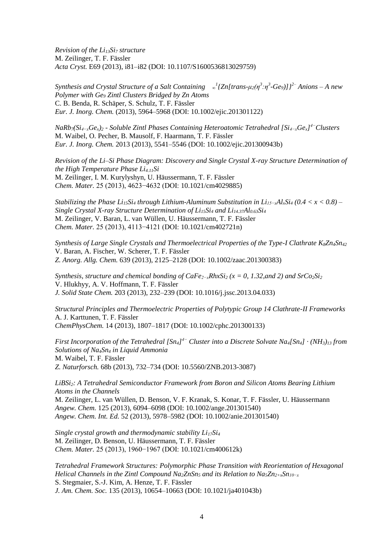*Revision of the Li13Si<sup>7</sup> structure* M. Zeilinger, T. F. Fässler *Acta Cryst.* E69 (2013), i81–i82 (DOI: [10.1107/S1600536813029759\)](http://dx.doi.org/10.1107/S1600536813029759)

*Synthesis and Crystal Structure of a Salt Containing <sup>∞</sup> 1 {Zn[trans-μ2(η<sup>3</sup> :η<sup>3</sup> -Ge9)]}2– Anions – A new Polymer with Ge<sup>9</sup> Zintl Clusters Bridged by Zn Atoms* C. B. Benda, R. Schäper, S. Schulz, T. F. Fässler *Eur. J. Inorg. Chem.* (2013), 5964–5968 (DOI: [10.1002/ejic.201301122\)](http://dx.doi.org/10.1002/ejic.201301122)

*NaRb7(Si4−xGex)<sup>2</sup> - Soluble Zintl Phases Containing Heteroatomic Tetrahedral [Si4−xGex] 4−Clusters* M. Waibel, O. Pecher, B. Mausolf, F. Haarmann, T. F. Fässler *Eur. J. Inorg. Chem.* 2013 (2013), 5541–5546 (DOI: [10.1002/ejic.201300943b\)](http://dx.doi.org/10.1002/ejic.201300943)

*Revision of the Li–Si Phase Diagram: Discovery and Single Crystal X-ray Structure Determination of the High Temperature Phase Li4.11Si* M. Zeilinger, I. M. Kurylyshyn, U. Häussermann, T. F. Fässler *Chem. Mater.* 25 (2013), 4623−4632 (DOI: [10.1021/cm4029885\)](http://dx.doi.org/10.1021/cm4029885)

*Stabilizing the Phase Li<sub>15</sub>Si<sub>4</sub></sub> <i>through Lithium-Aluminum Substitution in Li<sub>15</sub><sub><i>-x*</sub>Al<sub>*x*</sub>Si<sub>4</sub></sub> (0.4 < *x* < 0.8) – *Single Crystal X-ray Structure Determination of Li15Si<sup>4</sup> and Li14.37Al0.63Si<sup>4</sup>* M. Zeilinger, V. Baran, L. van Wüllen, U. Häussermann, T. F. Fässler *Chem. Mater.* 25 (2013), 4113−4121 (DOI: [10.1021/cm402721n\)](http://dx.doi.org/10.1021/cm402721n)

*Synthesis of Large Single Crystals and Thermoelectrical Properties of the Type-I Clathrate K8Zn4Sn<sup>42</sup>* V. Baran, A. Fischer, W. Scherer, T. F. Fässler *Z. Anorg. Allg. Chem.* 639 (2013), 2125–2128 (DOI: [10.1002/zaac.201300383\)](http://dx.doi.org/10.1002/zaac.201300383)

*Synthesis, structure and chemical bonding of CaFe2−xRhxSi<sup>2</sup> (x = 0, 1.32,and 2) and SrCo2Si<sup>2</sup>* V. Hlukhyy, A. V. Hoffmann, T. F. Fässler *J. Solid State Chem.* 203 (2013), 232–239 (DOI: [10.1016/j.jssc.2013.04.033\)](http://dx.doi.org/10.1016/j.jssc.2013.04.033)

*Structural Principles and Thermoelectric Properties of Polytypic Group 14 Clathrate-II Frameworks* A. J. Karttunen, T. F. Fässler *ChemPhysChem.* 14 (2013), 1807–1817 (DOI: [10.1002/cphc.201300133\)](http://dx.doi.org/10.1002/cphc.201300133)

*First Incorporation of the Tetrahedral [Sn4] 4− Cluster into a Discrete Solvate Na4[Sn4] · (NH3)<sup>13</sup> from Solutions of Na4Sn<sup>4</sup> in Liquid Ammonia* M. Waibel, T. F. Fässler *Z. Naturforsch.* 68b (2013), 732–734 (DOI: [10.5560/ZNB.2013-3087\)](http://dx.doi.org/10.5560/ZNB.2013-3087)

*LiBSi2: A Tetrahedral Semiconductor Framework from Boron and Silicon Atoms Bearing Lithium Atoms in the Channels* M. Zeilinger, L. van Wüllen, D. Benson, V. F. Kranak, S. Konar, T. F. Fässler, U. Häussermann *Angew. Chem.* 125 (2013), 6094–6098 (DOI: [10.1002/ange.201301540\)](http://dx.doi.org/10.1002/ange.201301540) *Angew. Chem. Int. Ed.* 52 (2013), 5978–5982 (DOI: [10.1002/anie.201301540\)](http://dx.doi.org/10.1002/anie.201301540)

*Single crystal growth and thermodynamic stability Li17Si<sup>4</sup>* M. Zeilinger, D. Benson, U. Häussermann, T. F. Fässler *Chem. Mater.* 25 (2013), 1960−1967 (DOI: [10.1021/cm400612k\)](http://dx.doi.org/10.1021/cm400612k)

*Tetrahedral Framework Structures: Polymorphic Phase Transition with Reorientation of Hexagonal Helical Channels in the Zintl Compound Na2ZnSn<sup>5</sup> and its Relation to Na5Zn2+xSn10−x* S. Stegmaier, S.-J. Kim, A. Henze, T. F. Fässler *J. Am. Chem. Soc.* 135 (2013), 10654–10663 (DOI: [10.1021/ja401043b\)](http://dx.doi.org/10.1021/ja401043b)